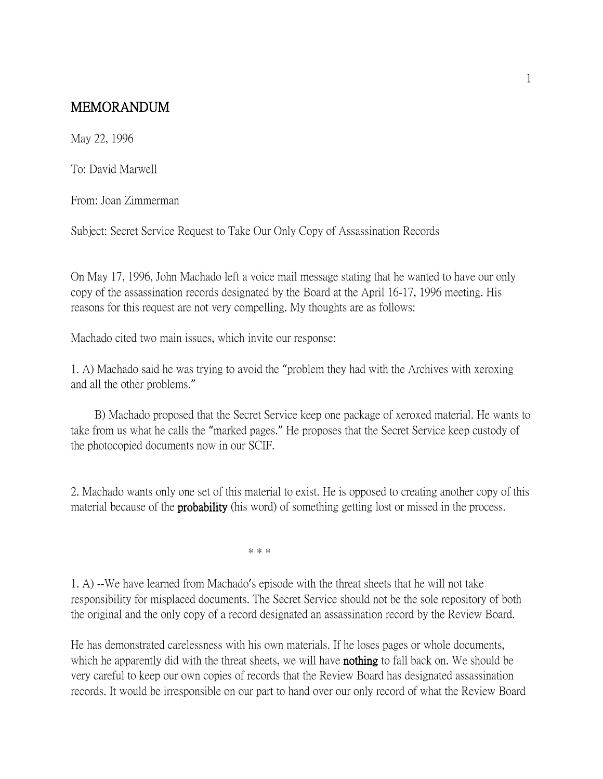## MEMORANDUM

May 22, 1996

To: David Marwell

From: Joan Zimmerman

Subject: Secret Service Request to Take Our Only Copy of Assassination Records

On May 17, 1996, John Machado left a voice mail message stating that he wanted to have our only copy of the assassination records designated by the Board at the April 16-17, 1996 meeting. His reasons for this request are not very compelling. My thoughts are as follows:

Machado cited two main issues, which invite our response:

1. A) Machado said he was trying to avoid the "problem they had with the Archives with xeroxing and all the other problems."

 B) Machado proposed that the Secret Service keep one package of xeroxed material. He wants to take from us what he calls the "marked pages." He proposes that the Secret Service keep custody of the photocopied documents now in our SCIF.

2. Machado wants only one set of this material to exist. He is opposed to creating another copy of this material because of the **probability** (his word) of something getting lost or missed in the process.

\* \* \*

1. A) --We have learned from Machado's episode with the threat sheets that he will not take responsibility for misplaced documents. The Secret Service should not be the sole repository of both the original and the only copy of a record designated an assassination record by the Review Board.

He has demonstrated carelessness with his own materials. If he loses pages or whole documents, which he apparently did with the threat sheets, we will have **nothing** to fall back on. We should be very careful to keep our own copies of records that the Review Board has designated assassination records. It would be irresponsible on our part to hand over our only record of what the Review Board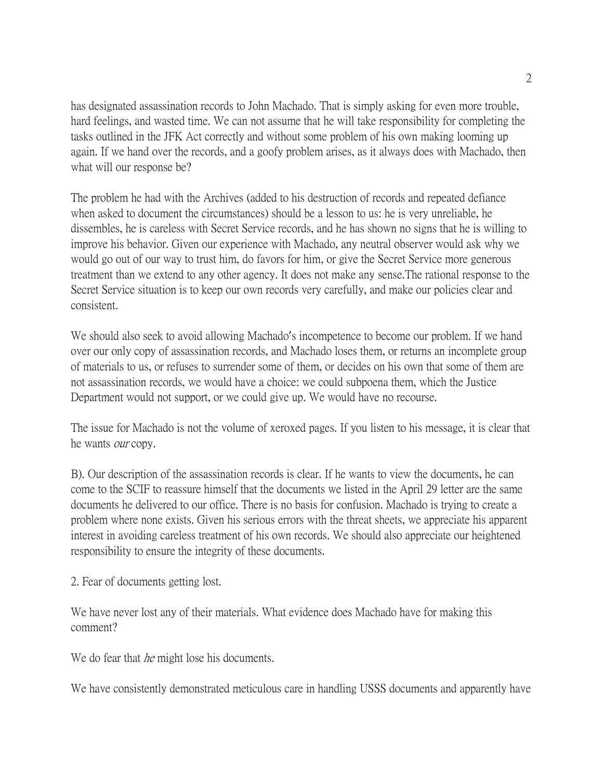has designated assassination records to John Machado. That is simply asking for even more trouble, hard feelings, and wasted time. We can not assume that he will take responsibility for completing the tasks outlined in the JFK Act correctly and without some problem of his own making looming up again. If we hand over the records, and a goofy problem arises, as it always does with Machado, then what will our response be?

The problem he had with the Archives (added to his destruction of records and repeated defiance when asked to document the circumstances) should be a lesson to us: he is very unreliable, he dissembles, he is careless with Secret Service records, and he has shown no signs that he is willing to improve his behavior. Given our experience with Machado, any neutral observer would ask why we would go out of our way to trust him, do favors for him, or give the Secret Service more generous treatment than we extend to any other agency. It does not make any sense.The rational response to the Secret Service situation is to keep our own records very carefully, and make our policies clear and consistent.

We should also seek to avoid allowing Machado's incompetence to become our problem. If we hand over our only copy of assassination records, and Machado loses them, or returns an incomplete group of materials to us, or refuses to surrender some of them, or decides on his own that some of them are not assassination records, we would have a choice: we could subpoena them, which the Justice Department would not support, or we could give up. We would have no recourse.

The issue for Machado is not the volume of xeroxed pages. If you listen to his message, it is clear that he wants our copy.

B). Our description of the assassination records is clear. If he wants to view the documents, he can come to the SCIF to reassure himself that the documents we listed in the April 29 letter are the same documents he delivered to our office. There is no basis for confusion. Machado is trying to create a problem where none exists. Given his serious errors with the threat sheets, we appreciate his apparent interest in avoiding careless treatment of his own records. We should also appreciate our heightened responsibility to ensure the integrity of these documents.

2. Fear of documents getting lost.

We have never lost any of their materials. What evidence does Machado have for making this comment?

We do fear that *he* might lose his documents.

We have consistently demonstrated meticulous care in handling USSS documents and apparently have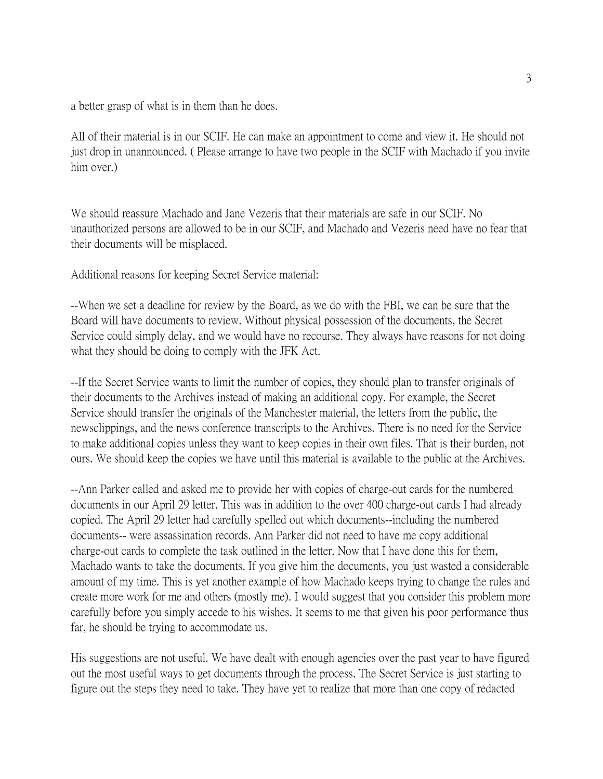a better grasp of what is in them than he does.

All of their material is in our SCIF. He can make an appointment to come and view it. He should not just drop in unannounced. ( Please arrange to have two people in the SCIF with Machado if you invite him over.)

We should reassure Machado and Jane Vezeris that their materials are safe in our SCIF. No unauthorized persons are allowed to be in our SCIF, and Machado and Vezeris need have no fear that their documents will be misplaced.

Additional reasons for keeping Secret Service material:

--When we set a deadline for review by the Board, as we do with the FBI, we can be sure that the Board will have documents to review. Without physical possession of the documents, the Secret Service could simply delay, and we would have no recourse. They always have reasons for not doing what they should be doing to comply with the JFK Act.

--If the Secret Service wants to limit the number of copies, they should plan to transfer originals of their documents to the Archives instead of making an additional copy. For example, the Secret Service should transfer the originals of the Manchester material, the letters from the public, the newsclippings, and the news conference transcripts to the Archives. There is no need for the Service to make additional copies unless they want to keep copies in their own files. That is their burden, not ours. We should keep the copies we have until this material is available to the public at the Archives.

--Ann Parker called and asked me to provide her with copies of charge-out cards for the numbered documents in our April 29 letter. This was in addition to the over 400 charge-out cards I had already copied. The April 29 letter had carefully spelled out which documents--including the numbered documents-- were assassination records. Ann Parker did not need to have me copy additional charge-out cards to complete the task outlined in the letter. Now that I have done this for them, Machado wants to take the documents. If you give him the documents, you just wasted a considerable amount of my time. This is yet another example of how Machado keeps trying to change the rules and create more work for me and others (mostly me). I would suggest that you consider this problem more carefully before you simply accede to his wishes. It seems to me that given his poor performance thus far, he should be trying to accommodate us.

His suggestions are not useful. We have dealt with enough agencies over the past year to have figured out the most useful ways to get documents through the process. The Secret Service is just starting to figure out the steps they need to take. They have yet to realize that more than one copy of redacted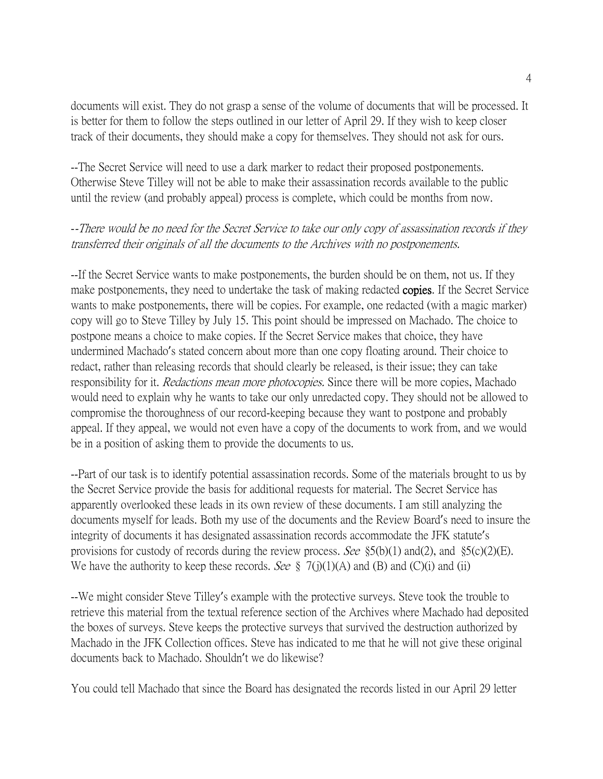documents will exist. They do not grasp a sense of the volume of documents that will be processed. It is better for them to follow the steps outlined in our letter of April 29. If they wish to keep closer track of their documents, they should make a copy for themselves. They should not ask for ours.

--The Secret Service will need to use a dark marker to redact their proposed postponements. Otherwise Steve Tilley will not be able to make their assassination records available to the public until the review (and probably appeal) process is complete, which could be months from now.

## --There would be no need for the Secret Service to take our only copy of assassination records if they transferred their originals of all the documents to the Archives with no postponements.

--If the Secret Service wants to make postponements, the burden should be on them, not us. If they make postponements, they need to undertake the task of making redacted **copies**. If the Secret Service wants to make postponements, there will be copies. For example, one redacted (with a magic marker) copy will go to Steve Tilley by July 15. This point should be impressed on Machado. The choice to postpone means a choice to make copies. If the Secret Service makes that choice, they have undermined Machado's stated concern about more than one copy floating around. Their choice to redact, rather than releasing records that should clearly be released, is their issue; they can take responsibility for it. *Redactions mean more photocopies*. Since there will be more copies, Machado would need to explain why he wants to take our only unredacted copy. They should not be allowed to compromise the thoroughness of our record-keeping because they want to postpone and probably appeal. If they appeal, we would not even have a copy of the documents to work from, and we would be in a position of asking them to provide the documents to us.

--Part of our task is to identify potential assassination records. Some of the materials brought to us by the Secret Service provide the basis for additional requests for material. The Secret Service has apparently overlooked these leads in its own review of these documents. I am still analyzing the documents myself for leads. Both my use of the documents and the Review Board's need to insure the integrity of documents it has designated assassination records accommodate the JFK statute's provisions for custody of records during the review process. See  $\S5(b)(1)$  and(2), and  $\S5(c)(2)(E)$ . We have the authority to keep these records. See § 7(j)(1)(A) and (B) and (C)(i) and (ii)

--We might consider Steve Tilley's example with the protective surveys. Steve took the trouble to retrieve this material from the textual reference section of the Archives where Machado had deposited the boxes of surveys. Steve keeps the protective surveys that survived the destruction authorized by Machado in the JFK Collection offices. Steve has indicated to me that he will not give these original documents back to Machado. Shouldn't we do likewise?

You could tell Machado that since the Board has designated the records listed in our April 29 letter